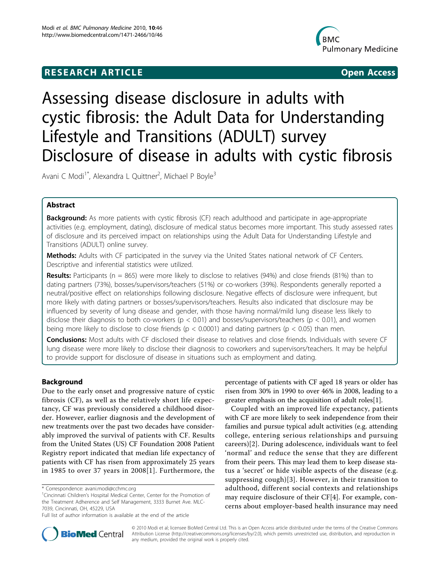## **RESEARCH ARTICLE Example 2018 CONSUMING ACCESS**



# Assessing disease disclosure in adults with cystic fibrosis: the Adult Data for Understanding Lifestyle and Transitions (ADULT) survey Disclosure of disease in adults with cystic fibrosis

Avani C Modi<sup>1\*</sup>, Alexandra L Quittner<sup>2</sup>, Michael P Boyle<sup>3</sup>

## Abstract

**Background:** As more patients with cystic fibrosis (CF) reach adulthood and participate in age-appropriate activities (e.g. employment, dating), disclosure of medical status becomes more important. This study assessed rates of disclosure and its perceived impact on relationships using the Adult Data for Understanding Lifestyle and Transitions (ADULT) online survey.

Methods: Adults with CF participated in the survey via the United States national network of CF Centers. Descriptive and inferential statistics were utilized.

**Results:** Participants ( $n = 865$ ) were more likely to disclose to relatives (94%) and close friends (81%) than to dating partners (73%), bosses/supervisors/teachers (51%) or co-workers (39%). Respondents generally reported a neutral/positive effect on relationships following disclosure. Negative effects of disclosure were infrequent, but more likely with dating partners or bosses/supervisors/teachers. Results also indicated that disclosure may be influenced by severity of lung disease and gender, with those having normal/mild lung disease less likely to disclose their diagnosis to both co-workers ( $p < 0.01$ ) and bosses/supervisors/teachers ( $p < 0.01$ ), and women being more likely to disclose to close friends ( $p < 0.0001$ ) and dating partners ( $p < 0.05$ ) than men.

Conclusions: Most adults with CF disclosed their disease to relatives and close friends. Individuals with severe CF lung disease were more likely to disclose their diagnosis to coworkers and supervisors/teachers. It may be helpful to provide support for disclosure of disease in situations such as employment and dating.

## Background

Due to the early onset and progressive nature of cystic fibrosis (CF), as well as the relatively short life expectancy, CF was previously considered a childhood disorder. However, earlier diagnosis and the development of new treatments over the past two decades have considerably improved the survival of patients with CF. Results from the United States (US) CF Foundation 2008 Patient Registry report indicated that median life expectancy of patients with CF has risen from approximately 25 years in 1985 to over 37 years in 2008[[1\]](#page-6-0). Furthermore, the

percentage of patients with CF aged 18 years or older has risen from 30% in 1990 to over 46% in 2008, leading to a greater emphasis on the acquisition of adult roles[\[1](#page-6-0)].

Coupled with an improved life expectancy, patients with CF are more likely to seek independence from their families and pursue typical adult activities (e.g. attending college, entering serious relationships and pursuing careers)[[2\]](#page-6-0). During adolescence, individuals want to feel 'normal' and reduce the sense that they are different from their peers. This may lead them to keep disease status a 'secret' or hide visible aspects of the disease (e.g. suppressing cough)[[3\]](#page-6-0). However, in their transition to adulthood, different social contexts and relationships may require disclosure of their CF[\[4](#page-6-0)]. For example, concerns about employer-based health insurance may need



© 2010 Modi et al; licensee BioMed Central Ltd. This is an Open Access article distributed under the terms of the Creative Commons Attribution License [\(http://creativecommons.org/licenses/by/2.0](http://creativecommons.org/licenses/by/2.0)), which permits unrestricted use, distribution, and reproduction in any medium, provided the original work is properly cited.

<sup>\*</sup> Correspondence: [avani.modi@cchmc.org](mailto:avani.modi@cchmc.org)

<sup>&</sup>lt;sup>1</sup>Cincinnati Children's Hospital Medical Center, Center for the Promotion of the Treatment Adherence and Self Management, 3333 Burnet Ave. MLC-7039, Cincinnati, OH, 45229, USA

Full list of author information is available at the end of the article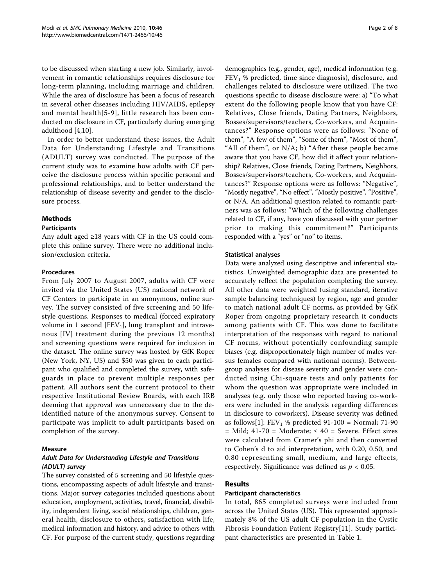to be discussed when starting a new job. Similarly, involvement in romantic relationships requires disclosure for long-term planning, including marriage and children. While the area of disclosure has been a focus of research in several other diseases including HIV/AIDS, epilepsy and mental health[[5](#page-6-0)-[9](#page-7-0)], little research has been conducted on disclosure in CF, particularly during emerging adulthood [[4,](#page-6-0)[10\]](#page-7-0).

In order to better understand these issues, the Adult Data for Understanding Lifestyle and Transitions (ADULT) survey was conducted. The purpose of the current study was to examine how adults with CF perceive the disclosure process within specific personal and professional relationships, and to better understand the relationship of disease severity and gender to the disclosure process.

## Methods

#### Participants

Any adult aged  $\geq$ 18 years with CF in the US could complete this online survey. There were no additional inclusion/exclusion criteria.

#### Procedures

From July 2007 to August 2007, adults with CF were invited via the United States (US) national network of CF Centers to participate in an anonymous, online survey. The survey consisted of five screening and 50 lifestyle questions. Responses to medical (forced expiratory volume in 1 second  $[FEV<sub>1</sub>]$ , lung transplant and intravenous [IV] treatment during the previous 12 months) and screening questions were required for inclusion in the dataset. The online survey was hosted by GfK Roper (New York, NY, US) and \$50 was given to each participant who qualified and completed the survey, with safeguards in place to prevent multiple responses per patient. All authors sent the current protocol to their respective Institutional Review Boards, with each IRB deeming that approval was unnecessary due to the deidentified nature of the anonymous survey. Consent to participate was implicit to adult participants based on completion of the survey.

#### Measure

## Adult Data for Understanding Lifestyle and Transitions (ADULT) survey

The survey consisted of 5 screening and 50 lifestyle questions, encompassing aspects of adult lifestyle and transitions. Major survey categories included questions about education, employment, activities, travel, financial, disability, independent living, social relationships, children, general health, disclosure to others, satisfaction with life, medical information and history, and advice to others with CF. For purpose of the current study, questions regarding demographics (e.g., gender, age), medical information (e.g.  $FEV<sub>1</sub>$  % predicted, time since diagnosis), disclosure, and challenges related to disclosure were utilized. The two questions specific to disease disclosure were: a) "To what extent do the following people know that you have CF: Relatives, Close friends, Dating Partners, Neighbors, Bosses/supervisors/teachers, Co-workers, and Acquaintances?" Response options were as follows: "None of them", "A few of them", "Some of them", "Most of them", "All of them", or N/A; b) "After these people became aware that you have CF, how did it affect your relationship? Relatives, Close friends, Dating Partners, Neighbors, Bosses/supervisors/teachers, Co-workers, and Acquaintances?" Response options were as follows: "Negative", "Mostly negative", "No effect", "Mostly positive", "Positive", or N/A. An additional question related to romantic partners was as follows: "Which of the following challenges related to CF, if any, have you discussed with your partner prior to making this commitment?" Participants responded with a "yes" or "no" to items.

#### Statistical analyses

Data were analyzed using descriptive and inferential statistics. Unweighted demographic data are presented to accurately reflect the population completing the survey. All other data were weighted (using standard, iterative sample balancing techniques) by region, age and gender to match national adult CF norms, as provided by GfK Roper from ongoing proprietary research it conducts among patients with CF. This was done to facilitate interpretation of the responses with regard to national CF norms, without potentially confounding sample biases (e.g. disproportionately high number of males versus females compared with national norms). Betweengroup analyses for disease severity and gender were conducted using Chi-square tests and only patients for whom the question was appropriate were included in analyses (e.g. only those who reported having co-workers were included in the analysis regarding differences in disclosure to coworkers). Disease severity was defined as follows[\[1](#page-6-0)]:  $FEV_1$  % predicted 91-100 = Normal; 71-90  $=$  Mild; 41-70  $=$  Moderate;  $\leq$  40  $=$  Severe. Effect sizes were calculated from Cramer's phi and then converted to Cohen's d to aid interpretation, with 0.20, 0.50, and 0.80 representing small, medium, and large effects, respectively. Significance was defined as  $p < 0.05$ .

## Results

#### Participant characteristics

In total, 865 completed surveys were included from across the United States (US). This represented approximately 8% of the US adult CF population in the Cystic Fibrosis Foundation Patient Registry[[11](#page-7-0)]. Study participant characteristics are presented in Table [1.](#page-2-0)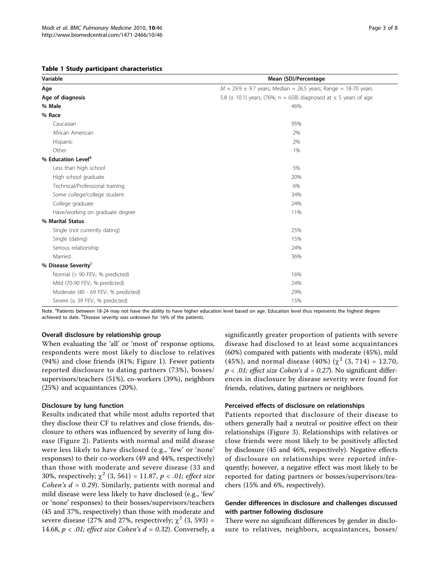<span id="page-2-0"></span>Table 1 Study participant characteristics

| Variable                                         | Mean (SD)/Percentage                                                       |  |  |  |
|--------------------------------------------------|----------------------------------------------------------------------------|--|--|--|
| Age                                              | $M = 29.9 \pm 9.7$ years; Median = 26.5 years; Range = 18-70 years         |  |  |  |
| Age of diagnosis                                 | 5.8 ( $\pm$ 10.1) years; (76%; n = 658) diagnosed at $\leq$ 5 years of age |  |  |  |
| % Male                                           | 46%                                                                        |  |  |  |
| % Race                                           |                                                                            |  |  |  |
| Caucasian                                        | 95%                                                                        |  |  |  |
| African American                                 | 2%                                                                         |  |  |  |
| Hispanic                                         | 2%                                                                         |  |  |  |
| Other                                            | 1%                                                                         |  |  |  |
| % Education Level <sup>a</sup>                   |                                                                            |  |  |  |
| Less than high school                            | 5%                                                                         |  |  |  |
| High school graduate                             | 20%                                                                        |  |  |  |
| Technical/Professional training                  | 6%                                                                         |  |  |  |
| Some college/college student                     | 34%                                                                        |  |  |  |
| College graduate                                 | 24%                                                                        |  |  |  |
| Have/working on graduate degree                  | 11%                                                                        |  |  |  |
| % Marital Status                                 |                                                                            |  |  |  |
| Single (not currently dating)                    | 25%                                                                        |  |  |  |
| Single (dating)                                  | 15%                                                                        |  |  |  |
| Serious relationship                             | 24%                                                                        |  |  |  |
| Married                                          | 36%                                                                        |  |  |  |
| % Disease Severity <sup>b</sup>                  |                                                                            |  |  |  |
| Normal ( $> 90$ FEV <sub>1</sub> % predicted)    | 16%                                                                        |  |  |  |
| Mild (70-90 FEV <sub>1</sub> % predicted)        | 24%                                                                        |  |  |  |
| Moderate (40 - 69 FEV <sub>1</sub> % predicted)  | 29%                                                                        |  |  |  |
| Severe ( $\leq$ 39 FEV <sub>1</sub> % predicted) | 15%                                                                        |  |  |  |

Note. <sup>a</sup>Patients between 18-24 may not have the ability to have higher education level based on age. Education level thus represents the highest degree achieved to date. <sup>b</sup>Disease severity was unknown for 16% of the patients.

#### Overall disclosure by relationship group

When evaluating the 'all' or 'most of' response options, respondents were most likely to disclose to relatives (94%) and close friends (81%; Figure [1](#page-3-0)). Fewer patients reported disclosure to dating partners (73%), bosses/ supervisors/teachers (51%), co-workers (39%), neighbors (25%) and acquaintances (20%).

#### Disclosure by lung function

Results indicated that while most adults reported that they disclose their CF to relatives and close friends, disclosure to others was influenced by severity of lung disease (Figure [2\)](#page-4-0). Patients with normal and mild disease were less likely to have disclosed (e.g., 'few' or 'none' responses) to their co-workers (49 and 44%, respectively) than those with moderate and severe disease (33 and 30%, respectively;  $\chi^2$  (3, 561) = 11.87, p < .01; effect size Cohen's  $d = 0.29$ . Similarly, patients with normal and mild disease were less likely to have disclosed (e.g., 'few' or 'none' responses) to their bosses/supervisors/teachers (45 and 37%, respectively) than those with moderate and severe disease (27% and 27%, respectively;  $\chi^2$  (3, 593) = 14.68,  $p < .01$ ; effect size Cohen's  $d = 0.32$ ). Conversely, a significantly greater proportion of patients with severe disease had disclosed to at least some acquaintances (60%) compared with patients with moderate (45%), mild (45%), and normal disease (40%) ( $\chi^2$  (3, 714) = 12.70,  $p < .01$ ; effect size Cohen's  $d = 0.27$ ). No significant differences in disclosure by disease severity were found for friends, relatives, dating partners or neighbors.

## Perceived effects of disclosure on relationships

Patients reported that disclosure of their disease to others generally had a neutral or positive effect on their relationships (Figure [3\)](#page-5-0). Relationships with relatives or close friends were most likely to be positively affected by disclosure (45 and 46%, respectively). Negative effects of disclosure on relationships were reported infrequently; however, a negative effect was most likely to be reported for dating partners or bosses/supervisors/teachers (15% and 6%, respectively).

## Gender differences in disclosure and challenges discussed with partner following disclosure

There were no significant differences by gender in disclosure to relatives, neighbors, acquaintances, bosses/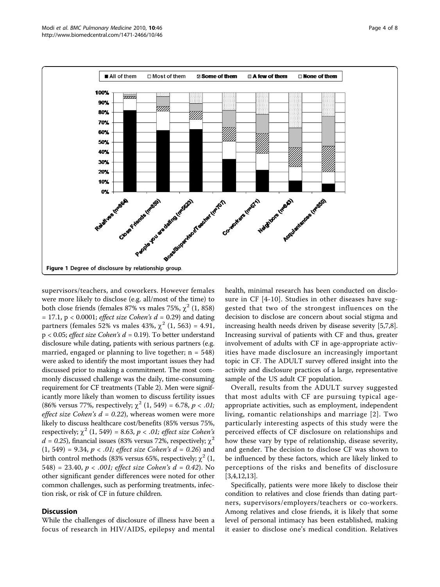<span id="page-3-0"></span>

supervisors/teachers, and coworkers. However females were more likely to disclose (e.g. all/most of the time) to both close friends (females 87% vs males 75%,  $\chi^2$  (1, 858) = 17.1,  $p < 0.0001$ ; *effect size Cohen's d* = 0.29) and dating partners (females 52% vs males 43%,  $\chi^2$  (1, 563) = 4.91,  $p < 0.05$ ; effect size Cohen's  $d = 0.19$ ). To better understand disclosure while dating, patients with serious partners (e.g. married, engaged or planning to live together;  $n = 548$ ) were asked to identify the most important issues they had discussed prior to making a commitment. The most commonly discussed challenge was the daily, time-consuming requirement for CF treatments (Table [2](#page-5-0)). Men were significantly more likely than women to discuss fertility issues (86% versus 77%, respectively;  $\chi^2$  (1, 549) = 6.78, *p* < .01; effect size Cohen's  $d = 0.22$ ), whereas women were more likely to discuss healthcare cost/benefits (85% versus 75%, respectively;  $\chi^2$  (1, 549) = 8.63, p < .01; effect size Cohen's  $d = 0.25$ ), financial issues (83% versus 72%, respectively;  $\chi^2$  $(1, 549) = 9.34, p < .01$ ; effect size Cohen's  $d = 0.26$ ) and birth control methods (83% versus 65%, respectively;  $\chi^2$  (1, 548) = 23.40,  $p < .001$ ; effect size Cohen's  $d = 0.42$ ). No other significant gender differences were noted for other common challenges, such as performing treatments, infection risk, or risk of CF in future children.

## **Discussion**

While the challenges of disclosure of illness have been a focus of research in HIV/AIDS, epilepsy and mental health, minimal research has been conducted on disclosure in CF [[4-](#page-6-0)[10\]](#page-7-0). Studies in other diseases have suggested that two of the strongest influences on the decision to disclose are concern about social stigma and increasing health needs driven by disease severity [\[5](#page-6-0)[,7,8](#page-7-0)]. Increasing survival of patients with CF and thus, greater involvement of adults with CF in age-appropriate activities have made disclosure an increasingly important topic in CF. The ADULT survey offered insight into the activity and disclosure practices of a large, representative sample of the US adult CF population.

Overall, results from the ADULT survey suggested that most adults with CF are pursuing typical ageappropriate activities, such as employment, independent living, romantic relationships and marriage [\[2\]](#page-6-0). Two particularly interesting aspects of this study were the perceived effects of CF disclosure on relationships and how these vary by type of relationship, disease severity, and gender. The decision to disclose CF was shown to be influenced by these factors, which are likely linked to perceptions of the risks and benefits of disclosure [[3,4,](#page-6-0)[12,13\]](#page-7-0).

Specifically, patients were more likely to disclose their condition to relatives and close friends than dating partners, supervisors/employers/teachers or co-workers. Among relatives and close friends, it is likely that some level of personal intimacy has been established, making it easier to disclose one's medical condition. Relatives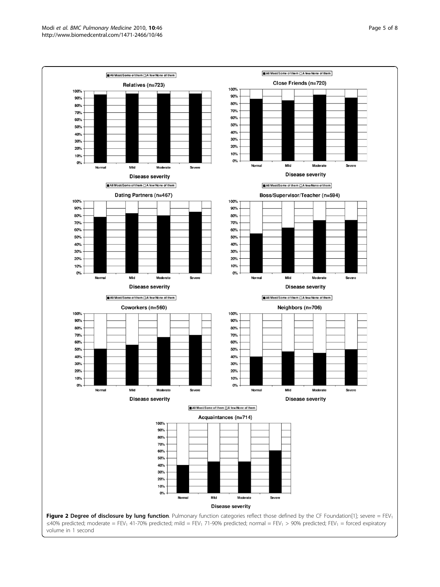<span id="page-4-0"></span>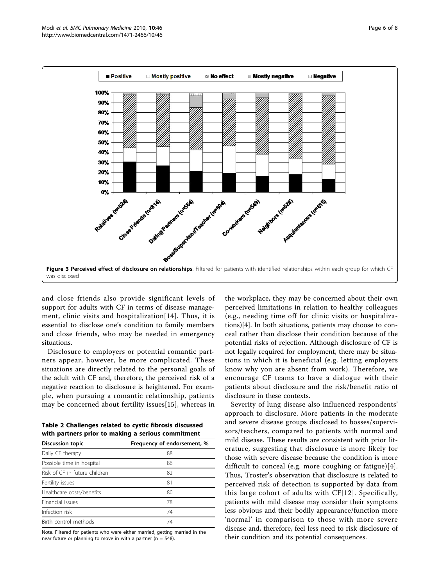<span id="page-5-0"></span>



and close friends also provide significant levels of support for adults with CF in terms of disease management, clinic visits and hospitalization[[14\]](#page-7-0). Thus, it is essential to disclose one's condition to family members and close friends, who may be needed in emergency situations.

Disclosure to employers or potential romantic partners appear, however, be more complicated. These situations are directly related to the personal goals of the adult with CF and, therefore, the perceived risk of a negative reaction to disclosure is heightened. For example, when pursuing a romantic relationship, patients may be concerned about fertility issues[\[15](#page-7-0)], whereas in

|  |  | Table 2 Challenges related to cystic fibrosis discussed |  |
|--|--|---------------------------------------------------------|--|
|  |  | with partners prior to making a serious commitment      |  |

| <b>Discussion topic</b>       | Frequency of endorsement, % |  |  |
|-------------------------------|-----------------------------|--|--|
| Daily CF therapy              | 88                          |  |  |
| Possible time in hospital     | 86                          |  |  |
| Risk of CF in future children | 82                          |  |  |
| Fertility issues              | 81                          |  |  |
| Healthcare costs/benefits     | 80                          |  |  |
| Financial issues              | 78                          |  |  |
| Infection risk                | 74                          |  |  |
| Birth control methods         | 74                          |  |  |

Note. Filtered for patients who were either married, getting married in the near future or planning to move in with a partner ( $n = 548$ ).

the workplace, they may be concerned about their own perceived limitations in relation to healthy colleagues (e.g., needing time off for clinic visits or hospitalizations)[[4\]](#page-6-0). In both situations, patients may choose to conceal rather than disclose their condition because of the potential risks of rejection. Although disclosure of CF is not legally required for employment, there may be situations in which it is beneficial (e.g. letting employers know why you are absent from work). Therefore, we encourage CF teams to have a dialogue with their patients about disclosure and the risk/benefit ratio of disclosure in these contexts.

Severity of lung disease also influenced respondents' approach to disclosure. More patients in the moderate and severe disease groups disclosed to bosses/supervisors/teachers, compared to patients with normal and mild disease. These results are consistent with prior literature, suggesting that disclosure is more likely for those with severe disease because the condition is more difficult to conceal (e.g. more coughing or fatigue)[[4](#page-6-0)]. Thus, Troster's observation that disclosure is related to perceived risk of detection is supported by data from this large cohort of adults with CF[[12](#page-7-0)]. Specifically, patients with mild disease may consider their symptoms less obvious and their bodily appearance/function more 'normal' in comparison to those with more severe disease and, therefore, feel less need to risk disclosure of their condition and its potential consequences.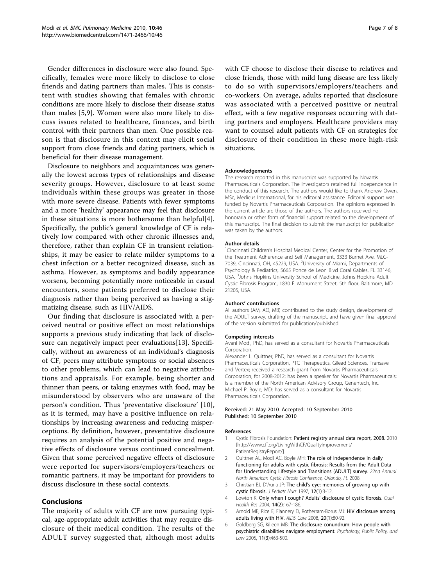<span id="page-6-0"></span>Gender differences in disclosure were also found. Specifically, females were more likely to disclose to close friends and dating partners than males. This is consistent with studies showing that females with chronic conditions are more likely to disclose their disease status than males [5[,9](#page-7-0)]. Women were also more likely to discuss issues related to healthcare, finances, and birth control with their partners than men. One possible reason is that disclosure in this context may elicit social support from close friends and dating partners, which is beneficial for their disease management.

Disclosure to neighbors and acquaintances was generally the lowest across types of relationships and disease severity groups. However, disclosure to at least some individuals within these groups was greater in those with more severe disease. Patients with fewer symptoms and a more 'healthy' appearance may feel that disclosure in these situations is more bothersome than helpful[4]. Specifically, the public's general knowledge of CF is relatively low compared with other chronic illnesses and, therefore, rather than explain CF in transient relationships, it may be easier to relate milder symptoms to a chest infection or a better recognized disease, such as asthma. However, as symptoms and bodily appearance worsens, becoming potentially more noticeable in casual encounters, some patients preferred to disclose their diagnosis rather than being perceived as having a stigmatizing disease, such as HIV/AIDS.

Our finding that disclosure is associated with a perceived neutral or positive effect on most relationships supports a previous study indicating that lack of disclosure can negatively impact peer evaluations[\[13\]](#page-7-0). Specifically, without an awareness of an individual's diagnosis of CF, peers may attribute symptoms or social absences to other problems, which can lead to negative attributions and appraisals. For example, being shorter and thinner than peers, or taking enzymes with food, may be misunderstood by observers who are unaware of the person's condition. Thus 'preventative disclosure' [[10](#page-7-0)], as it is termed, may have a positive influence on relationships by increasing awareness and reducing misperceptions. By definition, however, preventative disclosure requires an analysis of the potential positive and negative effects of disclosure versus continued concealment. Given that some perceived negative effects of disclosure were reported for supervisors/employers/teachers or romantic partners, it may be important for providers to discuss disclosure in these social contexts.

## Conclusions

The majority of adults with CF are now pursuing typical, age-appropriate adult activities that may require disclosure of their medical condition. The results of the ADULT survey suggested that, although most adults with CF choose to disclose their disease to relatives and close friends, those with mild lung disease are less likely to do so with supervisors/employers/teachers and co-workers. On average, adults reported that disclosure was associated with a perceived positive or neutral effect, with a few negative responses occurring with dating partners and employers. Healthcare providers may want to counsel adult patients with CF on strategies for disclosure of their condition in these more high-risk situations.

#### Acknowledgements

The research reported in this manuscript was supported by Novartis Pharmaceuticals Corporation. The investigators retained full independence in the conduct of this research. The authors would like to thank Andrew Owen, MSc, Medicus International, for his editorial assistance. Editorial support was funded by Novartis Pharmaceuticals Corporation. The opinions expressed in the current article are those of the authors. The authors received no honoraria or other form of financial support related to the development of this manuscript. The final decision to submit the manuscript for publication was taken by the authors

#### Author details

<sup>1</sup> Cincinnati Children's Hospital Medical Center, Center for the Promotion of the Treatment Adherence and Self Management, 3333 Burnet Ave. MLC-7039, Cincinnati, OH, 45229, USA. <sup>2</sup>University of Miami, Departments of Psychology & Pediatrics, 5665 Ponce de Leon Blvd Coral Gables, FL 33146, USA. <sup>3</sup>Johns Hopkins University School of Medicine, Johns Hopkins Adult Cystic Fibrosis Program, 1830 E. Monument Street, 5th floor, Baltimore, MD 21205, USA.

#### Authors' contributions

All authors (AM, AQ, MB) contributed to the study design, development of the ADULT survey, drafting of the manuscript, and have given final approval of the version submitted for publication/published.

#### Competing interests

Avani Modi, PhD, has served as a consultant for Novartis Pharmaceuticals Corporation.

Alexander L. Quittner, PhD, has served as a consultant for Novartis Pharmaceuticals Corporation, PTC Therapeutics, Gilead Sciences, Transave and Vertex; received a research grant from Novartis Pharmaceuticals Corporation, for 2008-2012; has been a speaker for Novartis Pharmaceuticals; is a member of the North American Advisory Group, Genentech, Inc. Michael P. Boyle, MD: has served as a consultant for Novartis Pharmaceuticals Corporation.

#### Received: 21 May 2010 Accepted: 10 September 2010 Published: 10 September 2010

#### References

- 1. Cystic Fibrosis Foundation: Patient registry annual data report, 2008. 2010 [[http://www.cff.org/LivingWithCF/QualityImprovement/](http://www.cff.org/LivingWithCF/QualityImprovement/PatientRegistryReport/) [PatientRegistryReport/\]](http://www.cff.org/LivingWithCF/QualityImprovement/PatientRegistryReport/).
- 2. Quittner AL, Modi AC, Boyle MH: The role of independence in daily functioning for adults with cystic fibrosis: Results from the Adult Data for Understanding Lifestyle and Transitions (ADULT) survey. 22nd Annual North American Cystic Fibrosis Conference, Orlando, FL 2008.
- 3. Christian BJ, D'Auria JP: The child'[s eye: memories of growing up with](http://www.ncbi.nlm.nih.gov/pubmed/9037958?dopt=Abstract) [cystic fibrosis.](http://www.ncbi.nlm.nih.gov/pubmed/9037958?dopt=Abstract) J Pediatr Nurs 1997, 12(1):3-12.
- 4. Lowton K: [Only when I cough? Adults](http://www.ncbi.nlm.nih.gov/pubmed/14768456?dopt=Abstract)' disclosure of cystic fibrosis. Qual Health Res 2004, 14(2):167-186.
- 5. Arnold ME, Rice E, Flannery D, Rotherram-Borus MJ: [HIV disclosure among](http://www.ncbi.nlm.nih.gov/pubmed/18278618?dopt=Abstract) [adults living with HIV.](http://www.ncbi.nlm.nih.gov/pubmed/18278618?dopt=Abstract) AIDS Care 2008, 20(1):80-92.
- 6. Goldberg SG, Killeen MB: The disclosure conundrum: How people with psychiatric disabilities navigate employment. Psychology, Public Policy, and Law 2005, 11(3):463-500.